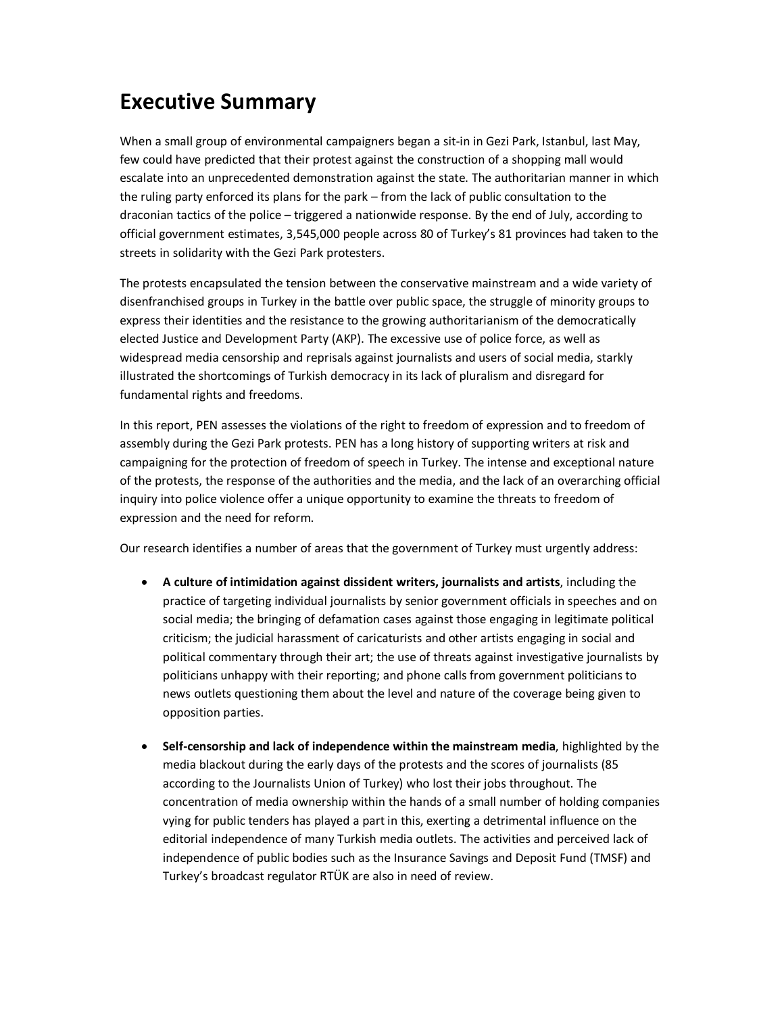## **Executive Summary**

When a small group of environmental campaigners began a sit-in in Gezi Park, Istanbul, last May, few could have predicted that their protest against the construction of a shopping mall would escalate into an unprecedented demonstration against the state. The authoritarian manner in which the ruling party enforced its plans for the park – from the lack of public consultation to the draconian tactics of the police – triggered a nationwide response. By the end of July, according to official government estimates, 3,545,000 people across 80 of Turkey's 81 provinces had taken to the streets in solidarity with the Gezi Park protesters.

The protests encapsulated the tension between the conservative mainstream and a wide variety of disenfranchised groups in Turkey in the battle over public space, the struggle of minority groups to express their identities and the resistance to the growing authoritarianism of the democratically elected Justice and Development Party (AKP). The excessive use of police force, as well as widespread media censorship and reprisals against journalists and users of social media, starkly illustrated the shortcomings of Turkish democracy in its lack of pluralism and disregard for fundamental rights and freedoms.

In this report, PEN assesses the violations of the right to freedom of expression and to freedom of assembly during the Gezi Park protests. PEN has a long history of supporting writers at risk and campaigning for the protection of freedom of speech in Turkey. The intense and exceptional nature of the protests, the response of the authorities and the media, and the lack of an overarching official inquiry into police violence offer a unique opportunity to examine the threats to freedom of expression and the need for reform.

Our research identifies a number of areas that the government of Turkey must urgently address:

- · **A culture of intimidation against dissident writers, journalists and artists**, including the practice of targeting individual journalists by senior government officials in speeches and on social media; the bringing of defamation cases against those engaging in legitimate political criticism; the judicial harassment of caricaturists and other artists engaging in social and political commentary through their art; the use of threats against investigative journalists by politicians unhappy with their reporting; and phone calls from government politicians to news outlets questioning them about the level and nature of the coverage being given to opposition parties.
- · **Self-censorship and lack of independence within the mainstream media**, highlighted by the media blackout during the early days of the protests and the scores of journalists (85 according to the Journalists Union of Turkey) who lost their jobs throughout. The concentration of media ownership within the hands of a small number of holding companies vying for public tenders has played a part in this, exerting a detrimental influence on the editorial independence of many Turkish media outlets. The activities and perceived lack of independence of public bodies such as the Insurance Savings and Deposit Fund (TMSF) and Turkey's broadcast regulator RTÜK are also in need of review.